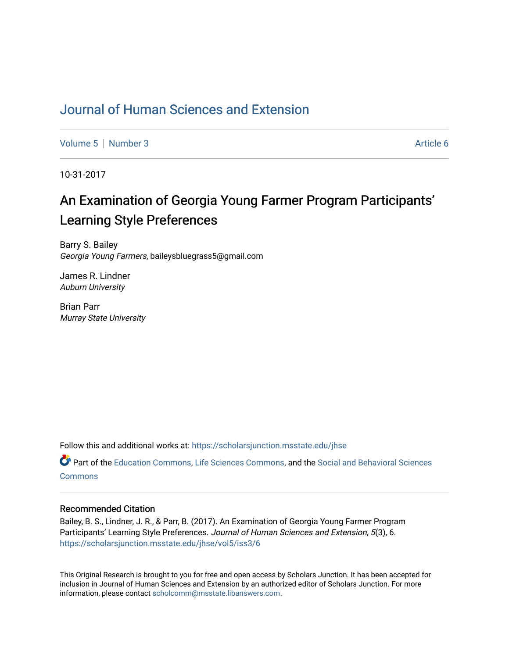## [Journal of Human Sciences and Extension](https://scholarsjunction.msstate.edu/jhse)

[Volume 5](https://scholarsjunction.msstate.edu/jhse/vol5) | [Number 3](https://scholarsjunction.msstate.edu/jhse/vol5/iss3) Article 6

10-31-2017

## An Examination of Georgia Young Farmer Program Participants' Learning Style Preferences

Barry S. Bailey Georgia Young Farmers, baileysbluegrass5@gmail.com

James R. Lindner Auburn University

Brian Parr Murray State University

Follow this and additional works at: [https://scholarsjunction.msstate.edu/jhse](https://scholarsjunction.msstate.edu/jhse?utm_source=scholarsjunction.msstate.edu%2Fjhse%2Fvol5%2Fiss3%2F6&utm_medium=PDF&utm_campaign=PDFCoverPages)

Part of the [Education Commons](http://network.bepress.com/hgg/discipline/784?utm_source=scholarsjunction.msstate.edu%2Fjhse%2Fvol5%2Fiss3%2F6&utm_medium=PDF&utm_campaign=PDFCoverPages), [Life Sciences Commons](http://network.bepress.com/hgg/discipline/1016?utm_source=scholarsjunction.msstate.edu%2Fjhse%2Fvol5%2Fiss3%2F6&utm_medium=PDF&utm_campaign=PDFCoverPages), and the [Social and Behavioral Sciences](http://network.bepress.com/hgg/discipline/316?utm_source=scholarsjunction.msstate.edu%2Fjhse%2Fvol5%2Fiss3%2F6&utm_medium=PDF&utm_campaign=PDFCoverPages)  **[Commons](http://network.bepress.com/hgg/discipline/316?utm_source=scholarsjunction.msstate.edu%2Fjhse%2Fvol5%2Fiss3%2F6&utm_medium=PDF&utm_campaign=PDFCoverPages)** 

#### Recommended Citation

Bailey, B. S., Lindner, J. R., & Parr, B. (2017). An Examination of Georgia Young Farmer Program Participants' Learning Style Preferences. Journal of Human Sciences and Extension, 5(3), 6. [https://scholarsjunction.msstate.edu/jhse/vol5/iss3/6](https://scholarsjunction.msstate.edu/jhse/vol5/iss3/6?utm_source=scholarsjunction.msstate.edu%2Fjhse%2Fvol5%2Fiss3%2F6&utm_medium=PDF&utm_campaign=PDFCoverPages)

This Original Research is brought to you for free and open access by Scholars Junction. It has been accepted for inclusion in Journal of Human Sciences and Extension by an authorized editor of Scholars Junction. For more information, please contact [scholcomm@msstate.libanswers.com](mailto:scholcomm@msstate.libanswers.com).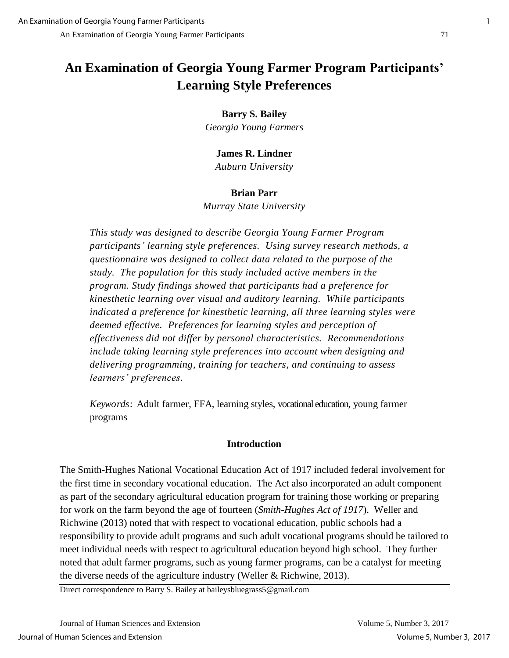# **An Examination of Georgia Young Farmer Program Participants' Learning Style Preferences**

### **Barry S. Bailey**

*Georgia Young Farmers*

## **James R. Lindner**

*Auburn University*

### **Brian Parr**

*Murray State University*

*This study was designed to describe Georgia Young Farmer Program participants' learning style preferences. Using survey research methods, a questionnaire was designed to collect data related to the purpose of the study. The population for this study included active members in the program. Study findings showed that participants had a preference for kinesthetic learning over visual and auditory learning. While participants indicated a preference for kinesthetic learning, all three learning styles were deemed effective. Preferences for learning styles and perception of effectiveness did not differ by personal characteristics. Recommendations include taking learning style preferences into account when designing and delivering programming, training for teachers, and continuing to assess learners' preferences.*

*Keywords*: Adult farmer, FFA, learning styles, vocational education, young farmer programs

## **Introduction**

The Smith-Hughes National Vocational Education Act of 1917 included federal involvement for the first time in secondary vocational education. The Act also incorporated an adult component as part of the secondary agricultural education program for training those working or preparing for work on the farm beyond the age of fourteen (*Smith-Hughes Act of 1917*). Weller and Richwine (2013) noted that with respect to vocational education, public schools had a responsibility to provide adult programs and such adult vocational programs should be tailored to meet individual needs with respect to agricultural education beyond high school. They further noted that adult farmer programs, such as young farmer programs, can be a catalyst for meeting the diverse needs of the agriculture industry (Weller & Richwine, 2013).

Direct correspondence to Barry S. Bailey at baileysbluegrass5@gmail.com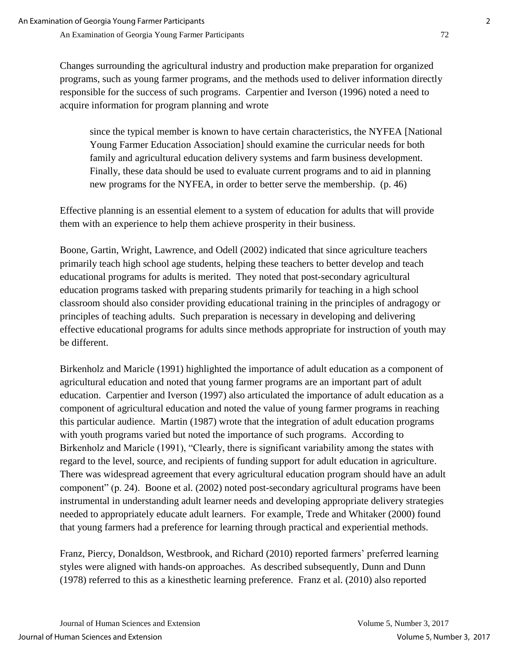Changes surrounding the agricultural industry and production make preparation for organized programs, such as young farmer programs, and the methods used to deliver information directly responsible for the success of such programs. Carpentier and Iverson (1996) noted a need to acquire information for program planning and wrote

since the typical member is known to have certain characteristics, the NYFEA [National Young Farmer Education Association] should examine the curricular needs for both family and agricultural education delivery systems and farm business development. Finally, these data should be used to evaluate current programs and to aid in planning new programs for the NYFEA, in order to better serve the membership. (p. 46)

Effective planning is an essential element to a system of education for adults that will provide them with an experience to help them achieve prosperity in their business.

Boone, Gartin, Wright, Lawrence, and Odell (2002) indicated that since agriculture teachers primarily teach high school age students, helping these teachers to better develop and teach educational programs for adults is merited. They noted that post-secondary agricultural education programs tasked with preparing students primarily for teaching in a high school classroom should also consider providing educational training in the principles of andragogy or principles of teaching adults. Such preparation is necessary in developing and delivering effective educational programs for adults since methods appropriate for instruction of youth may be different.

Birkenholz and Maricle (1991) highlighted the importance of adult education as a component of agricultural education and noted that young farmer programs are an important part of adult education. Carpentier and Iverson (1997) also articulated the importance of adult education as a component of agricultural education and noted the value of young farmer programs in reaching this particular audience. Martin (1987) wrote that the integration of adult education programs with youth programs varied but noted the importance of such programs. According to Birkenholz and Maricle (1991), "Clearly, there is significant variability among the states with regard to the level, source, and recipients of funding support for adult education in agriculture. There was widespread agreement that every agricultural education program should have an adult component" (p. 24). Boone et al. (2002) noted post-secondary agricultural programs have been instrumental in understanding adult learner needs and developing appropriate delivery strategies needed to appropriately educate adult learners. For example, Trede and Whitaker (2000) found that young farmers had a preference for learning through practical and experiential methods.

Franz, Piercy, Donaldson, Westbrook, and Richard (2010) reported farmers' preferred learning styles were aligned with hands-on approaches. As described subsequently, Dunn and Dunn (1978) referred to this as a kinesthetic learning preference. Franz et al. (2010) also reported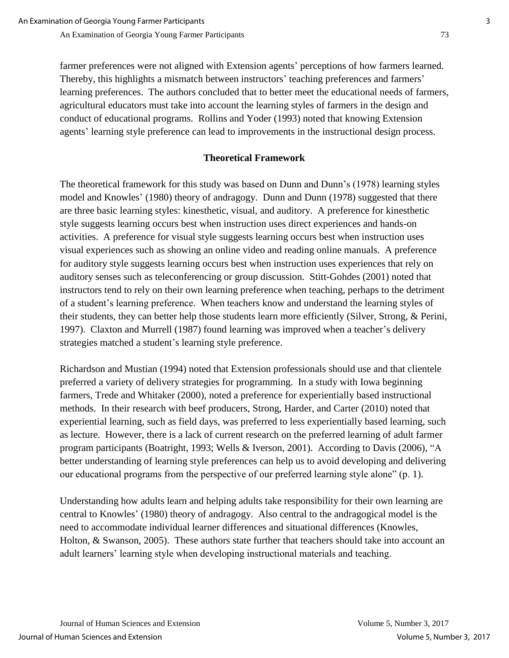farmer preferences were not aligned with Extension agents' perceptions of how farmers learned. Thereby, this highlights a mismatch between instructors' teaching preferences and farmers' learning preferences. The authors concluded that to better meet the educational needs of farmers, agricultural educators must take into account the learning styles of farmers in the design and conduct of educational programs. Rollins and Yoder (1993) noted that knowing Extension agents' learning style preference can lead to improvements in the instructional design process.

## **Theoretical Framework**

The theoretical framework for this study was based on Dunn and Dunn's (1978) learning styles model and Knowles' (1980) theory of andragogy. Dunn and Dunn (1978) suggested that there are three basic learning styles: kinesthetic, visual, and auditory. A preference for kinesthetic style suggests learning occurs best when instruction uses direct experiences and hands-on activities. A preference for visual style suggests learning occurs best when instruction uses visual experiences such as showing an online video and reading online manuals. A preference for auditory style suggests learning occurs best when instruction uses experiences that rely on auditory senses such as teleconferencing or group discussion. Stitt-Gohdes (2001) noted that instructors tend to rely on their own learning preference when teaching, perhaps to the detriment of a student's learning preference. When teachers know and understand the learning styles of their students, they can better help those students learn more efficiently (Silver, Strong, & Perini, 1997). Claxton and Murrell (1987) found learning was improved when a teacher's delivery strategies matched a student's learning style preference.

Richardson and Mustian (1994) noted that Extension professionals should use and that clientele preferred a variety of delivery strategies for programming. In a study with Iowa beginning farmers, Trede and Whitaker (2000), noted a preference for experientially based instructional methods. In their research with beef producers, Strong, Harder, and Carter (2010) noted that experiential learning, such as field days, was preferred to less experientially based learning, such as lecture. However, there is a lack of current research on the preferred learning of adult farmer program participants (Boatright, 1993; Wells & Iverson, 2001). According to Davis (2006), "A better understanding of learning style preferences can help us to avoid developing and delivering our educational programs from the perspective of our preferred learning style alone" (p. 1).

Understanding how adults learn and helping adults take responsibility for their own learning are central to Knowles' (1980) theory of andragogy. Also central to the andragogical model is the need to accommodate individual learner differences and situational differences (Knowles, Holton, & Swanson, 2005). These authors state further that teachers should take into account an adult learners' learning style when developing instructional materials and teaching.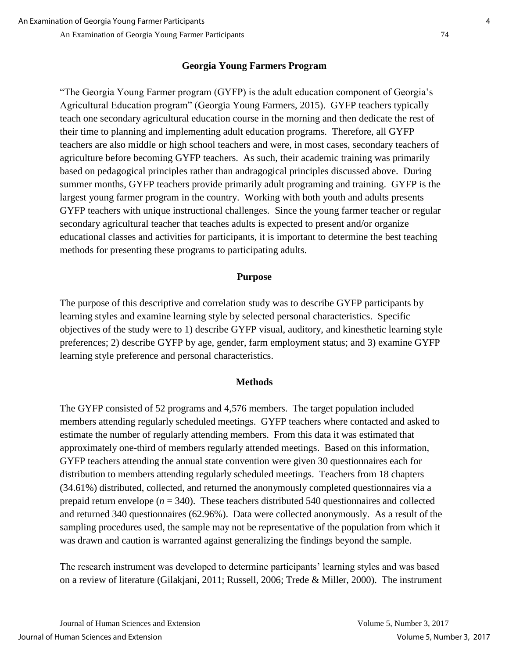#### **Georgia Young Farmers Program**

"The Georgia Young Farmer program (GYFP) is the adult education component of Georgia's Agricultural Education program" (Georgia Young Farmers, 2015). GYFP teachers typically teach one secondary agricultural education course in the morning and then dedicate the rest of their time to planning and implementing adult education programs. Therefore, all GYFP teachers are also middle or high school teachers and were, in most cases, secondary teachers of agriculture before becoming GYFP teachers. As such, their academic training was primarily based on pedagogical principles rather than andragogical principles discussed above. During summer months, GYFP teachers provide primarily adult programing and training. GYFP is the largest young farmer program in the country. Working with both youth and adults presents GYFP teachers with unique instructional challenges. Since the young farmer teacher or regular secondary agricultural teacher that teaches adults is expected to present and/or organize educational classes and activities for participants, it is important to determine the best teaching methods for presenting these programs to participating adults.

#### **Purpose**

The purpose of this descriptive and correlation study was to describe GYFP participants by learning styles and examine learning style by selected personal characteristics. Specific objectives of the study were to 1) describe GYFP visual, auditory, and kinesthetic learning style preferences; 2) describe GYFP by age, gender, farm employment status; and 3) examine GYFP learning style preference and personal characteristics.

#### **Methods**

The GYFP consisted of 52 programs and 4,576 members. The target population included members attending regularly scheduled meetings. GYFP teachers where contacted and asked to estimate the number of regularly attending members. From this data it was estimated that approximately one-third of members regularly attended meetings. Based on this information, GYFP teachers attending the annual state convention were given 30 questionnaires each for distribution to members attending regularly scheduled meetings. Teachers from 18 chapters (34.61%) distributed, collected, and returned the anonymously completed questionnaires via a prepaid return envelope  $(n = 340)$ . These teachers distributed 540 questionnaires and collected and returned 340 questionnaires (62.96%). Data were collected anonymously. As a result of the sampling procedures used, the sample may not be representative of the population from which it was drawn and caution is warranted against generalizing the findings beyond the sample.

The research instrument was developed to determine participants' learning styles and was based on a review of literature (Gilakjani, 2011; Russell, 2006; Trede & Miller, 2000). The instrument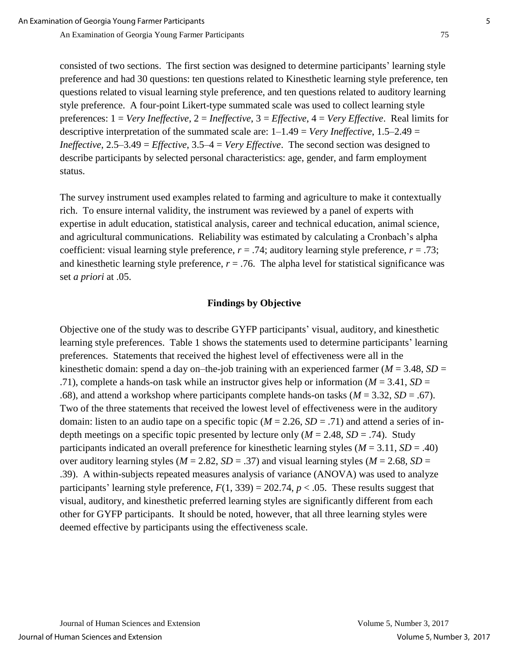consisted of two sections. The first section was designed to determine participants' learning style preference and had 30 questions: ten questions related to Kinesthetic learning style preference, ten questions related to visual learning style preference, and ten questions related to auditory learning style preference. A four-point Likert-type summated scale was used to collect learning style preferences: 1 = *Very Ineffective*, 2 = *Ineffective*, 3 = *Effective*, 4 = *Very Effective*. Real limits for descriptive interpretation of the summated scale are: 1–1.49 = *Very Ineffective*, 1.5–2.49 = *Ineffective*, 2.5–3.49 = *Effective*, 3.5–4 = *Very Effective*. The second section was designed to describe participants by selected personal characteristics: age, gender, and farm employment status.

The survey instrument used examples related to farming and agriculture to make it contextually rich. To ensure internal validity, the instrument was reviewed by a panel of experts with expertise in adult education, statistical analysis, career and technical education, animal science, and agricultural communications. Reliability was estimated by calculating a Cronbach's alpha coefficient: visual learning style preference,  $r = .74$ ; auditory learning style preference,  $r = .73$ ; and kinesthetic learning style preference,  $r = .76$ . The alpha level for statistical significance was set *a priori* at .05.

#### **Findings by Objective**

Objective one of the study was to describe GYFP participants' visual, auditory, and kinesthetic learning style preferences. Table 1 shows the statements used to determine participants' learning preferences. Statements that received the highest level of effectiveness were all in the kinesthetic domain: spend a day on–the-job training with an experienced farmer ( $M = 3.48$ ,  $SD =$ .71), complete a hands-on task while an instructor gives help or information (*M* = 3.41, *SD* = .68), and attend a workshop where participants complete hands-on tasks  $(M = 3.32, SD = .67)$ . Two of the three statements that received the lowest level of effectiveness were in the auditory domain: listen to an audio tape on a specific topic ( $M = 2.26$ ,  $SD = .71$ ) and attend a series of indepth meetings on a specific topic presented by lecture only  $(M = 2.48, SD = .74)$ . Study participants indicated an overall preference for kinesthetic learning styles ( $M = 3.11$ ,  $SD = .40$ ) over auditory learning styles ( $M = 2.82$ ,  $SD = .37$ ) and visual learning styles ( $M = 2.68$ ,  $SD =$ .39). A within-subjects repeated measures analysis of variance (ANOVA) was used to analyze participants' learning style preference,  $F(1, 339) = 202.74$ ,  $p < .05$ . These results suggest that visual, auditory, and kinesthetic preferred learning styles are significantly different from each other for GYFP participants. It should be noted, however, that all three learning styles were deemed effective by participants using the effectiveness scale.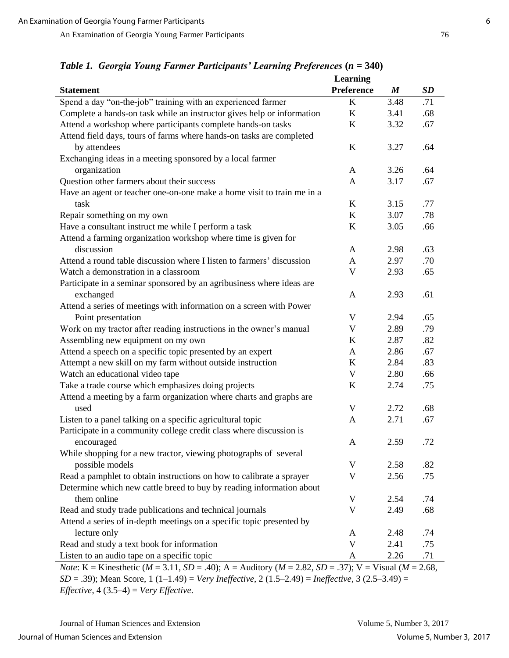| able 1. Scorgu Tourig I writer I write punto Learning                                                                         | <b>Learning</b>           |                  |           |
|-------------------------------------------------------------------------------------------------------------------------------|---------------------------|------------------|-----------|
| <b>Statement</b>                                                                                                              | Preference                | $\boldsymbol{M}$ | <b>SD</b> |
| Spend a day "on-the-job" training with an experienced farmer                                                                  | $\bf K$                   | 3.48             | .71       |
| Complete a hands-on task while an instructor gives help or information                                                        | K                         | 3.41             | .68       |
| Attend a workshop where participants complete hands-on tasks                                                                  | $\mathbf K$               | 3.32             | .67       |
| Attend field days, tours of farms where hands-on tasks are completed                                                          |                           |                  |           |
| by attendees                                                                                                                  | $\bf K$                   | 3.27             | .64       |
| Exchanging ideas in a meeting sponsored by a local farmer                                                                     |                           |                  |           |
|                                                                                                                               |                           | 3.26             | .64       |
| organization                                                                                                                  | A                         |                  | .67       |
| Question other farmers about their success                                                                                    | A                         | 3.17             |           |
| Have an agent or teacher one-on-one make a home visit to train me in a                                                        |                           |                  |           |
| task                                                                                                                          | K                         | 3.15             | .77       |
| Repair something on my own                                                                                                    | K                         | 3.07             | .78       |
| Have a consultant instruct me while I perform a task                                                                          | $\bf K$                   | 3.05             | .66       |
| Attend a farming organization workshop where time is given for                                                                |                           |                  |           |
| discussion                                                                                                                    | A                         | 2.98             | .63       |
| Attend a round table discussion where I listen to farmers' discussion                                                         | A                         | 2.97             | .70       |
| Watch a demonstration in a classroom                                                                                          | $\mathbf V$               | 2.93             | .65       |
| Participate in a seminar sponsored by an agribusiness where ideas are                                                         |                           |                  |           |
| exchanged                                                                                                                     | A                         | 2.93             | .61       |
| Attend a series of meetings with information on a screen with Power                                                           |                           |                  |           |
| Point presentation                                                                                                            | V                         | 2.94             | .65       |
| Work on my tractor after reading instructions in the owner's manual                                                           | V                         | 2.89             | .79       |
| Assembling new equipment on my own                                                                                            | $\bf K$                   | 2.87             | .82       |
| Attend a speech on a specific topic presented by an expert                                                                    | A                         | 2.86             | .67       |
| Attempt a new skill on my farm without outside instruction                                                                    | K                         | 2.84             | .83       |
| Watch an educational video tape                                                                                               | $\boldsymbol{\mathrm{V}}$ | 2.80             | .66       |
| Take a trade course which emphasizes doing projects                                                                           | K                         | 2.74             | .75       |
| Attend a meeting by a farm organization where charts and graphs are                                                           |                           |                  |           |
| used                                                                                                                          | V                         | 2.72             | .68       |
| Listen to a panel talking on a specific agricultural topic                                                                    | A                         | 2.71             | .67       |
| Participate in a community college credit class where discussion is                                                           |                           |                  |           |
| encouraged                                                                                                                    | $\mathbf{A}$              | 2.59             | .72       |
| While shopping for a new tractor, viewing photographs of several                                                              |                           |                  |           |
| possible models                                                                                                               | V                         | 2.58             | .82       |
| Read a pamphlet to obtain instructions on how to calibrate a sprayer                                                          | V                         | 2.56             | .75       |
| Determine which new cattle breed to buy by reading information about                                                          |                           |                  |           |
| them online                                                                                                                   | V                         | 2.54             | .74       |
| Read and study trade publications and technical journals                                                                      | V                         | 2.49             | .68       |
| Attend a series of in-depth meetings on a specific topic presented by                                                         |                           |                  |           |
| lecture only                                                                                                                  | A                         | 2.48             | .74       |
| Read and study a text book for information                                                                                    | $\mathbf{V}$              | 2.41             | .75       |
| Listen to an audio tape on a specific topic                                                                                   | A                         | 2.26             | .71       |
| <i>Note:</i> K = Kinesthetic ( $M = 3.11$ , $SD = .40$ ); A = Auditory ( $M = 2.82$ , $SD = .37$ ); V = Visual ( $M = 2.68$ , |                           |                  |           |
| $SD = .39$ ; Mean Score, 1 (1-1.49) = Very Ineffective, 2 (1.5-2.49) = Ineffective, 3 (2.5-3.49) =                            |                           |                  |           |
| <i>Effective</i> , $4(3.5-4) = Very$ <i>Effective.</i>                                                                        |                           |                  |           |

*Table 1. Georgia Young Farmer Participants' Learning Preferences* **(***n =* **340)**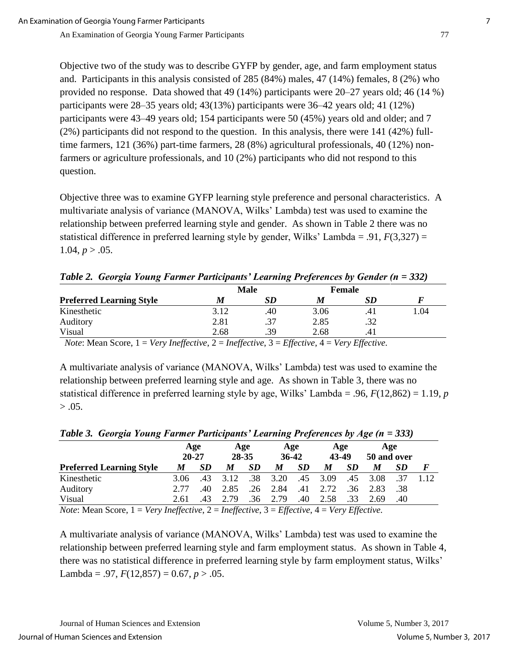Objective two of the study was to describe GYFP by gender, age, and farm employment status and. Participants in this analysis consisted of 285 (84%) males, 47 (14%) females, 8 (2%) who provided no response. Data showed that 49 (14%) participants were 20–27 years old; 46 (14 %) participants were 28–35 years old; 43(13%) participants were 36–42 years old; 41 (12%) participants were 43–49 years old; 154 participants were 50 (45%) years old and older; and 7 (2%) participants did not respond to the question. In this analysis, there were 141 (42%) fulltime farmers, 121 (36%) part-time farmers, 28 (8%) agricultural professionals, 40 (12%) nonfarmers or agriculture professionals, and 10 (2%) participants who did not respond to this question.

Objective three was to examine GYFP learning style preference and personal characteristics. A multivariate analysis of variance (MANOVA, Wilks' Lambda) test was used to examine the relationship between preferred learning style and gender. As shown in Table 2 there was no statistical difference in preferred learning style by gender, Wilks' Lambda = .91, *F*(3,327) =  $1.04, p > .05.$ 

|                                 |      | Male | <b>Female</b> |      |      |
|---------------------------------|------|------|---------------|------|------|
| <b>Preferred Learning Style</b> | M    | SD   | M             | SD   |      |
| Kinesthetic                     | 3.12 | .40  | 3.06          | .41  | . 04 |
| Auditory                        | 2.81 | .37  | 2.85          | .32  |      |
| Visual                          | 2.68 | .39  | 2.68          | .4 J |      |

*Table 2. Georgia Young Farmer Participants' Learning Preferences by Gender (n = 332)*

*Note*: Mean Score, 1 = *Very Ineffective*, 2 = *Ineffective*, 3 = *Effective*, 4 = *Very Effective.*

A multivariate analysis of variance (MANOVA, Wilks' Lambda) test was used to examine the relationship between preferred learning style and age. As shown in Table 3, there was no statistical difference in preferred learning style by age, Wilks' Lambda = .96, *F*(12,862) = 1.19, *p*  $> .05.$ 

|                                 | Age<br>$20 - 27$ |           | Age<br>28-35 |     | Age<br>$36-42$ |           | Age<br>43-49 |           | Age<br>50 and over |     |  |
|---------------------------------|------------------|-----------|--------------|-----|----------------|-----------|--------------|-----------|--------------------|-----|--|
| <b>Preferred Learning Style</b> | M                | <b>SD</b> | M            | SD  | M              | <b>SD</b> | M            | <b>SD</b> | M                  | SD  |  |
| Kinesthetic                     | 3.06             | .43       | 3.12         | .38 | 3.20           | .45       | 3.09         | .45       | 3.08               | .37 |  |
| Auditory                        | 2.77             | .40       | 2.85         | .26 | 2.84           | .41       | 2.72         | .36       | 2.83               | .38 |  |
| Visual                          | 2.61             |           | 2.79         | .36 | 2.79           | .40       | 2.58         | .33       | 2.69               | .40 |  |

*Table 3. Georgia Young Farmer Participants' Learning Preferences by Age (n = 333)*

*Note*: Mean Score, 1 = *Very Ineffective*, 2 = *Ineffective*, 3 = *Effective*, 4 = *Very Effective.*

A multivariate analysis of variance (MANOVA, Wilks' Lambda) test was used to examine the relationship between preferred learning style and farm employment status. As shown in Table 4, there was no statistical difference in preferred learning style by farm employment status, Wilks' Lambda = .97,  $F(12,857) = 0.67, p > .05$ .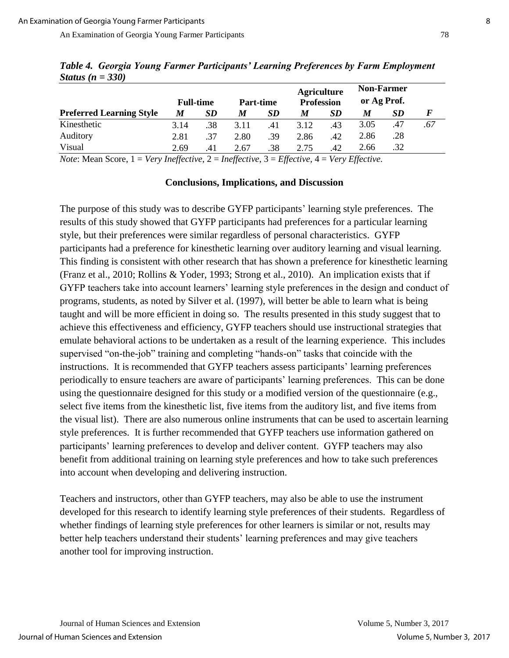|                                                                                                                       |                  |           |                  |           |                   | <b>Agriculture</b> | <b>Non-Farmer</b> |     |     |  |
|-----------------------------------------------------------------------------------------------------------------------|------------------|-----------|------------------|-----------|-------------------|--------------------|-------------------|-----|-----|--|
|                                                                                                                       | <b>Full-time</b> |           | <b>Part-time</b> |           | <b>Profession</b> |                    | or Ag Prof.       |     |     |  |
| <b>Preferred Learning Style</b>                                                                                       | M                | <b>SD</b> | M                | <b>SD</b> | M                 | SD                 | M                 | SD  |     |  |
| Kinesthetic                                                                                                           | 3.14             | .38       | 3.11             | .41       | 3.12              | .43                | 3.05              | .47 | .67 |  |
| Auditory                                                                                                              | 2.81             | .37       | 2.80             | .39       | 2.86              | .42                | 2.86              | .28 |     |  |
| Visual                                                                                                                | 2.69             | .41       | 2.67             | .38       | 2.75              | .42                | 2.66              | .32 |     |  |
| $Nots$ Mean Score $1 - V_{\alpha}$ Instructive $2 - Inoffective$ , $3 - \text{Fffective}$ $A - V_{\alpha}$ Fiffective |                  |           |                  |           |                   |                    |                   |     |     |  |

*Table 4. Georgia Young Farmer Participants' Learning Preferences by Farm Employment Status (n = 330)*

*Note*: Mean Score, 1 = *Very Ineffective*, 2 = *Ineffective*, 3 = *Effective*, 4 = *Very Effective.*

#### **Conclusions, Implications, and Discussion**

The purpose of this study was to describe GYFP participants' learning style preferences. The results of this study showed that GYFP participants had preferences for a particular learning style, but their preferences were similar regardless of personal characteristics. GYFP participants had a preference for kinesthetic learning over auditory learning and visual learning. This finding is consistent with other research that has shown a preference for kinesthetic learning (Franz et al., 2010; Rollins & Yoder, 1993; Strong et al., 2010). An implication exists that if GYFP teachers take into account learners' learning style preferences in the design and conduct of programs, students, as noted by Silver et al. (1997), will better be able to learn what is being taught and will be more efficient in doing so. The results presented in this study suggest that to achieve this effectiveness and efficiency, GYFP teachers should use instructional strategies that emulate behavioral actions to be undertaken as a result of the learning experience. This includes supervised "on-the-job" training and completing "hands-on" tasks that coincide with the instructions. It is recommended that GYFP teachers assess participants' learning preferences periodically to ensure teachers are aware of participants' learning preferences. This can be done using the questionnaire designed for this study or a modified version of the questionnaire (e.g., select five items from the kinesthetic list, five items from the auditory list, and five items from the visual list). There are also numerous online instruments that can be used to ascertain learning style preferences. It is further recommended that GYFP teachers use information gathered on participants' learning preferences to develop and deliver content. GYFP teachers may also benefit from additional training on learning style preferences and how to take such preferences into account when developing and delivering instruction.

Teachers and instructors, other than GYFP teachers, may also be able to use the instrument developed for this research to identify learning style preferences of their students. Regardless of whether findings of learning style preferences for other learners is similar or not, results may better help teachers understand their students' learning preferences and may give teachers another tool for improving instruction.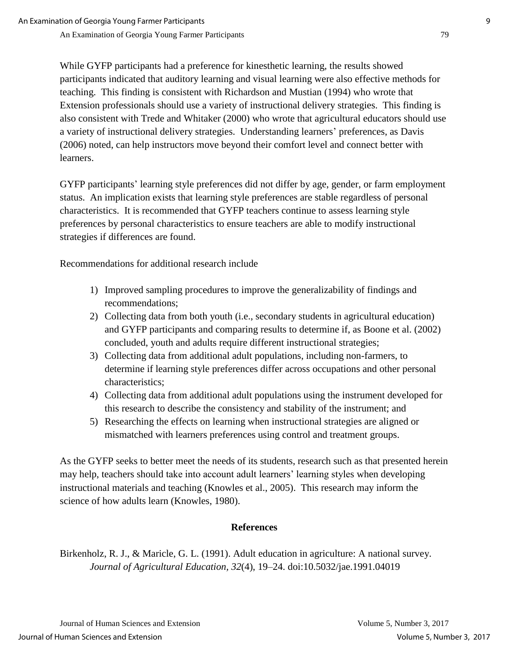While GYFP participants had a preference for kinesthetic learning, the results showed participants indicated that auditory learning and visual learning were also effective methods for teaching. This finding is consistent with Richardson and Mustian (1994) who wrote that Extension professionals should use a variety of instructional delivery strategies. This finding is also consistent with Trede and Whitaker (2000) who wrote that agricultural educators should use a variety of instructional delivery strategies. Understanding learners' preferences, as Davis (2006) noted, can help instructors move beyond their comfort level and connect better with learners.

GYFP participants' learning style preferences did not differ by age, gender, or farm employment status. An implication exists that learning style preferences are stable regardless of personal characteristics. It is recommended that GYFP teachers continue to assess learning style preferences by personal characteristics to ensure teachers are able to modify instructional strategies if differences are found.

Recommendations for additional research include

- 1) Improved sampling procedures to improve the generalizability of findings and recommendations;
- 2) Collecting data from both youth (i.e., secondary students in agricultural education) and GYFP participants and comparing results to determine if, as Boone et al. (2002) concluded, youth and adults require different instructional strategies;
- 3) Collecting data from additional adult populations, including non-farmers, to determine if learning style preferences differ across occupations and other personal characteristics;
- 4) Collecting data from additional adult populations using the instrument developed for this research to describe the consistency and stability of the instrument; and
- 5) Researching the effects on learning when instructional strategies are aligned or mismatched with learners preferences using control and treatment groups.

As the GYFP seeks to better meet the needs of its students, research such as that presented herein may help, teachers should take into account adult learners' learning styles when developing instructional materials and teaching (Knowles et al., 2005). This research may inform the science of how adults learn (Knowles, 1980).

## **References**

Birkenholz, R. J., & Maricle, G. L. (1991). Adult education in agriculture: A national survey. *Journal of Agricultural Education, 32*(4), 19–24. doi:10.5032/jae.1991.04019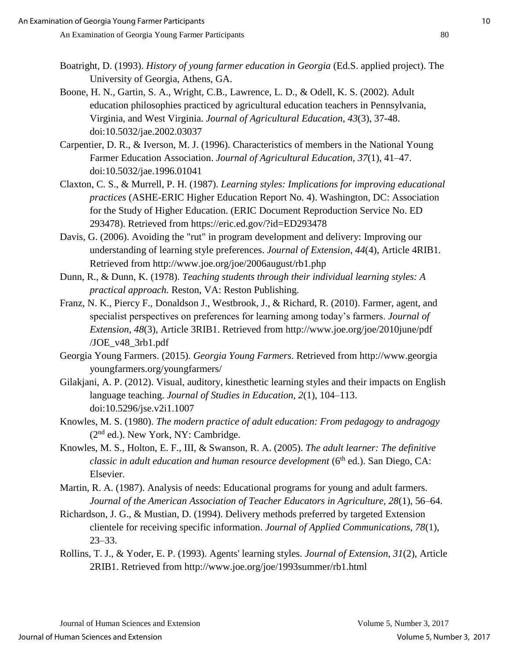- Boatright, D. (1993). *History of young farmer education in Georgia* (Ed.S. applied project). The University of Georgia, Athens, GA.
- Boone, H. N., Gartin, S. A., Wright, C.B., Lawrence, L. D., & Odell, K. S. (2002). Adult education philosophies practiced by agricultural education teachers in Pennsylvania, Virginia, and West Virginia. *Journal of Agricultural Education*, *43*(3), 37-48. doi:10.5032/jae.2002.03037
- Carpentier, D. R., & Iverson, M. J. (1996). Characteristics of members in the National Young Farmer Education Association. *Journal of Agricultural Education*, *37*(1), 41–47. doi:10.5032/jae.1996.01041
- Claxton, C. S., & Murrell, P. H. (1987). *Learning styles: Implications for improving educational practices* (ASHE-ERIC Higher Education Report No. 4). Washington, DC: Association for the Study of Higher Education. (ERIC Document Reproduction Service No. ED 293478). Retrieved from https://eric.ed.gov/?id=ED293478
- Davis, G. (2006). Avoiding the "rut" in program development and delivery: Improving our understanding of learning style preferences. *Journal of Extension, 44*(4), Article 4RIB1. Retrieved from http://www.joe.org/joe/2006august/rb1.php
- Dunn, R., & Dunn, K. (1978). *Teaching students through their individual learning styles: A practical approach.* Reston, VA: Reston Publishing.
- Franz, N. K., Piercy F., Donaldson J., Westbrook, J., & Richard, R. (2010). Farmer, agent, and specialist perspectives on preferences for learning among today's farmers. *Journal of Extension, 48*(3), Article 3RIB1. Retrieved from http://www.joe.org/joe/2010june/pdf /JOE\_v48\_3rb1.pdf
- Georgia Young Farmers. (2015). *Georgia Young Farmers*. Retrieved from http://www.georgia youngfarmers.org/youngfarmers/
- Gilakjani, A. P. (2012). Visual, auditory, kinesthetic learning styles and their impacts on English language teaching. *Journal of Studies in Education, 2*(1), 104–113. doi:10.5296/jse.v2i1.1007
- Knowles, M. S. (1980). *The modern practice of adult education: From pedagogy to andragogy* (2<sup>nd</sup> ed.). New York, NY: Cambridge.
- Knowles, M. S., Holton, E. F., III, & Swanson, R. A. (2005). *The adult learner: The definitive classic in adult education and human resource development* (6<sup>th</sup> ed.). San Diego, CA: Elsevier.
- Martin, R. A. (1987). Analysis of needs: Educational programs for young and adult farmers. *Journal of the American Association of Teacher Educators in Agriculture, 28*(1), 56–64.
- Richardson, J. G., & Mustian, D. (1994). Delivery methods preferred by targeted Extension clientele for receiving specific information. *Journal of Applied Communications, 78*(1), 23–33.
- Rollins, T. J., & Yoder, E. P. (1993). Agents' learning styles. *Journal of Extension, 31*(2), Article 2RIB1. Retrieved from http://www.joe.org/joe/1993summer/rb1.html